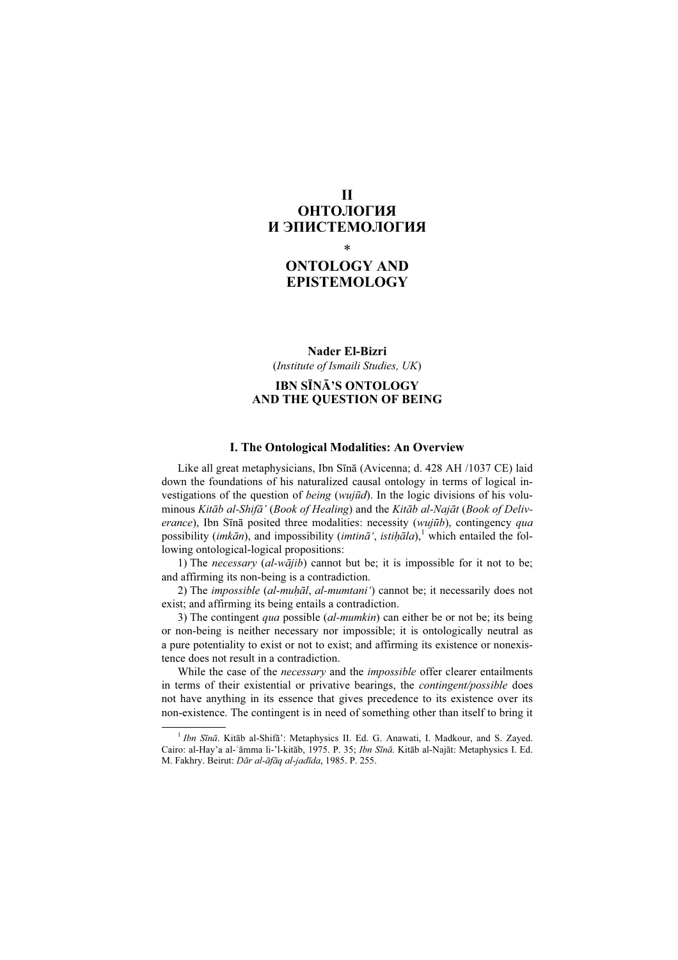## II ОНТОЛОГИЯ И ЭПИСТЕМОЛОГИЯ \*

# ONTOLOGY AND **EPISTEMOLOGY**

## Nader El-Bizri

(Institute of Ismaili Studies, UK)

## IBN SĪNĀ'S ONTOLOGY AND THE QUESTION OF BEING

## I. The Ontological Modalities: An Overview

Like all great metaphysicians, Ibn Sīnā (Avicenna; d. 428 AH /1037 CE) laid down the foundations of his naturalized causal ontology in terms of logical investigations of the question of *being* (*wujūd*). In the logic divisions of his voluminous Kitāb al-Shifā' (Book of Healing) and the Kitāb al-Najāt (Book of Deliverance). Ibn Sīnā posited three modalities: necessity (*wujūb*), contingency *qua* possibility (imkān), and impossibility (imtinā', istiḥāla),<sup>1</sup> which entailed the following ontological-logical propositions:

1) The *necessary* (*al-wājib*) cannot but be; it is impossible for it not to be; and affirming its non-being is a contradiction.

2) The *impossible (al-muḥāl, al-mumtani'*) cannot be; it necessarily does not exist; and affirming its being entails a contradiction.

3) The contingent *qua* possible (*al-mumkin*) can either be or not be; its being or non-being is neither necessary nor impossible; it is ontologically neutral as a pure potentiality to exist or not to exist; and affirming its existence or nonexistence does not result in a contradiction.

While the case of the *necessary* and the *impossible* offer clearer entailments in terms of their existential or privative bearings, the contingent/possible does not have anything in its essence that gives precedence to its existence over its non-existence. The contingent is in need of something other than itself to bring it

 $1$  Ibn Sīnā. Kitāb al-Shifā': Metaphysics II. Ed. G. Anawati, I. Madkour, and S. Zayed. Cairo: al-Hay'a al-ʿāmma li-'l-kitāb, 1975. P. 35; Ibn Sīnā. Kitāb al-Najāt: Metaphysics I. Ed. M. Fakhry. Beirut: Dār al-āfāq al-jadīda, 1985. P. 255.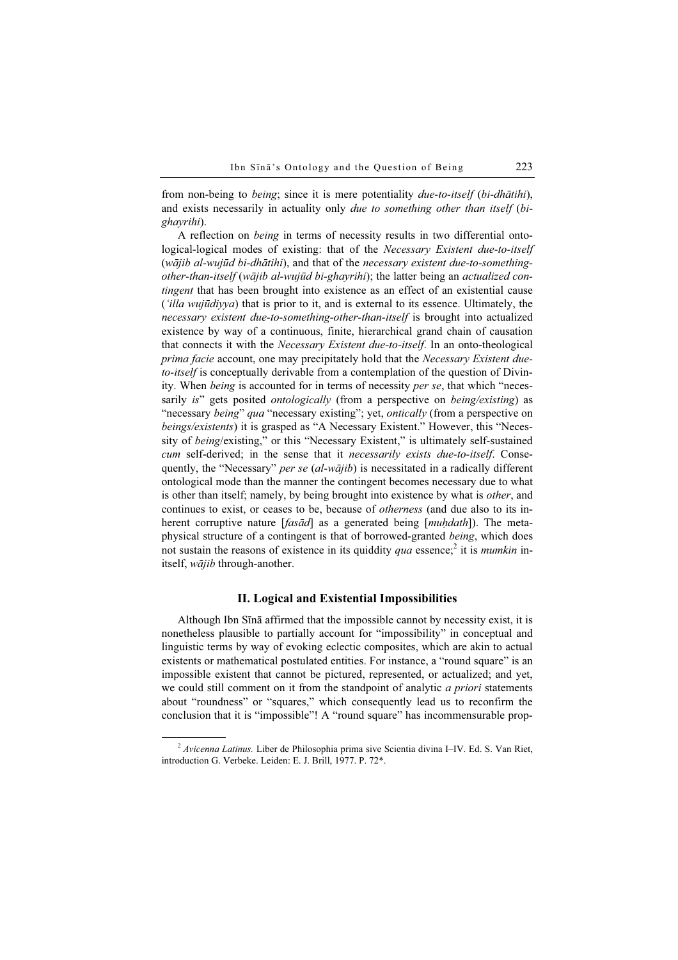from non-being to *being*; since it is mere potentiality *due-to-itself* (*bi-dhātihi*), and exists necessarily in actuality only due to something other than itself (bighayrihi).

A reflection on being in terms of necessity results in two differential ontological-logical modes of existing: that of the Necessary Existent due-to-itself (wājib al-wujūd bi-dhātihi), and that of the necessary existent due-to-somethingother-than-itself (wājib al-wujūd bi-ghayrihi); the latter being an actualized contingent that has been brought into existence as an effect of an existential cause  $(i$ lla wujūdiyya) that is prior to it, and is external to its essence. Ultimately, the necessary existent due-to-something-other-than-itself is brought into actualized existence by way of a continuous, finite, hierarchical grand chain of causation that connects it with the Necessary Existent due-to-itself. In an onto-theological prima facie account, one may precipitately hold that the Necessary Existent dueto-itself is conceptually derivable from a contemplation of the question of Divinity. When *being* is accounted for in terms of necessity *per se*, that which "necessarily is" gets posited *ontologically* (from a perspective on *being/existing*) as "necessary *being" qua* "necessary existing"; yet, *ontically* (from a perspective on beings/existents) it is grasped as "A Necessary Existent." However, this "Necessity of being/existing," or this "Necessary Existent," is ultimately self-sustained cum self-derived; in the sense that it necessarily exists due-to-itself. Consequently, the "Necessary" per se (al-wājib) is necessitated in a radically different ontological mode than the manner the contingent becomes necessary due to what is other than itself; namely, by being brought into existence by what is other, and continues to exist, or ceases to be, because of otherness (and due also to its inherent corruptive nature [fasād] as a generated being [muḥdath]). The metaphysical structure of a contingent is that of borrowed-granted being, which does not sustain the reasons of existence in its quiddity  $qua$  essence;<sup>2</sup> it is *mumkin* initself, wājib through-another.

#### II. Logical and Existential Impossibilities

Although Ibn Sīnā affirmed that the impossible cannot by necessity exist, it is nonetheless plausible to partially account for "impossibility" in conceptual and linguistic terms by way of evoking eclectic composites, which are akin to actual existents or mathematical postulated entities. For instance, a "round square" is an impossible existent that cannot be pictured, represented, or actualized; and yet, we could still comment on it from the standpoint of analytic *a priori* statements about "roundness" or "squares," which consequently lead us to reconfirm the conclusion that it is "impossible"! A "round square" has incommensurable prop-

 $2$  Avicenna Latinus. Liber de Philosophia prima sive Scientia divina I–IV. Ed. S. Van Riet, introduction G. Verbeke. Leiden: E. J. Brill, 1977. P. 72\*.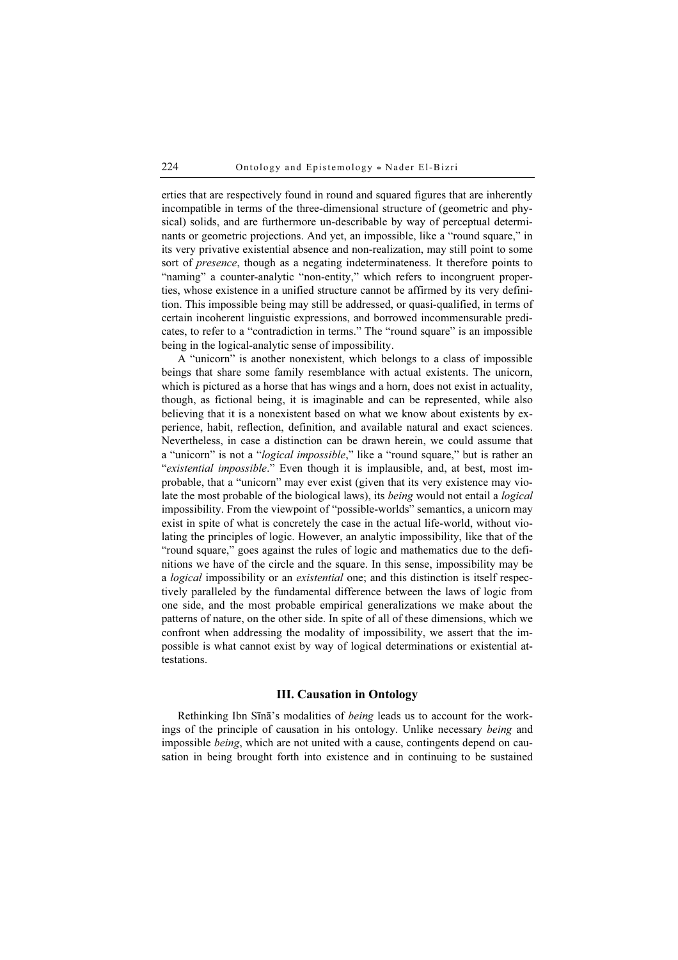erties that are respectively found in round and squared figures that are inherently incompatible in terms of the three-dimensional structure of (geometric and physical) solids, and are furthermore un-describable by way of perceptual determinants or geometric projections. And yet, an impossible, like a "round square," in its very privative existential absence and non-realization, may still point to some sort of *presence*, though as a negating indeterminateness. It therefore points to "naming" a counter-analytic "non-entity," which refers to incongruent properties, whose existence in a unified structure cannot be affirmed by its very definition. This impossible being may still be addressed, or quasi-qualified, in terms of certain incoherent linguistic expressions, and borrowed incommensurable predicates, to refer to a "contradiction in terms." The "round square" is an impossible being in the logical-analytic sense of impossibility.

A "unicorn" is another nonexistent, which belongs to a class of impossible beings that share some family resemblance with actual existents. The unicorn, which is pictured as a horse that has wings and a horn, does not exist in actuality, though, as fictional being, it is imaginable and can be represented, while also believing that it is a nonexistent based on what we know about existents by experience, habit, reflection, definition, and available natural and exact sciences. Nevertheless, in case a distinction can be drawn herein, we could assume that a "unicorn" is not a "logical impossible," like a "round square," but is rather an "existential impossible." Even though it is implausible, and, at best, most improbable, that a "unicorn" may ever exist (given that its very existence may violate the most probable of the biological laws), its being would not entail a logical impossibility. From the viewpoint of "possible-worlds" semantics, a unicorn may exist in spite of what is concretely the case in the actual life-world, without violating the principles of logic. However, an analytic impossibility, like that of the "round square," goes against the rules of logic and mathematics due to the definitions we have of the circle and the square. In this sense, impossibility may be a logical impossibility or an existential one; and this distinction is itself respectively paralleled by the fundamental difference between the laws of logic from one side, and the most probable empirical generalizations we make about the patterns of nature, on the other side. In spite of all of these dimensions, which we confront when addressing the modality of impossibility, we assert that the impossible is what cannot exist by way of logical determinations or existential attestations.

#### III. Causation in Ontology

Rethinking Ibn Sīnā's modalities of being leads us to account for the workings of the principle of causation in his ontology. Unlike necessary being and impossible being, which are not united with a cause, contingents depend on causation in being brought forth into existence and in continuing to be sustained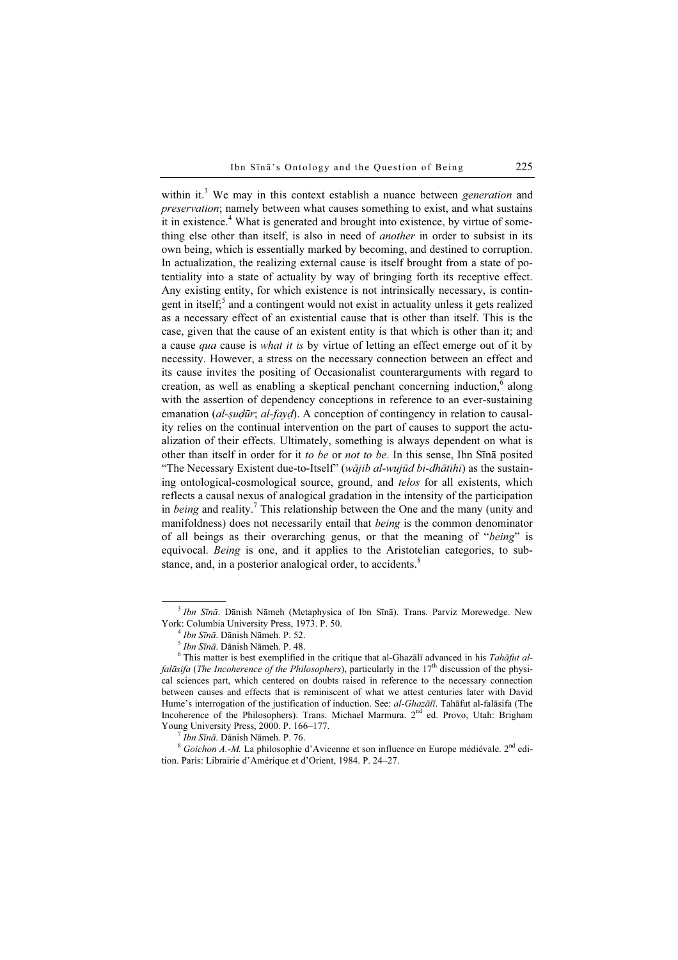within it.<sup>3</sup> We may in this context establish a nuance between generation and preservation; namely between what causes something to exist, and what sustains it in existence.<sup>4</sup> What is generated and brought into existence, by virtue of something else other than itself, is also in need of *another* in order to subsist in its own being, which is essentially marked by becoming, and destined to corruption. In actualization, the realizing external cause is itself brought from a state of potentiality into a state of actuality by way of bringing forth its receptive effect. Any existing entity, for which existence is not intrinsically necessary, is contingent in itself,<sup>5</sup> and a contingent would not exist in actuality unless it gets realized as a necessary effect of an existential cause that is other than itself. This is the case, given that the cause of an existent entity is that which is other than it; and a cause *qua* cause is *what it is* by virtue of letting an effect emerge out of it by necessity. However, a stress on the necessary connection between an effect and its cause invites the positing of Occasionalist counterarguments with regard to creation, as well as enabling a skeptical penchant concerning induction,  $\overline{6}$  along with the assertion of dependency conceptions in reference to an ever-sustaining emanation *(al-sudūr; al-fayd)*. A conception of contingency in relation to causality relies on the continual intervention on the part of causes to support the actualization of their effects. Ultimately, something is always dependent on what is other than itself in order for it to be or not to be. In this sense, Ibn Sīnā posited "The Necessary Existent due-to-Itself" (wājib al-wujūd bi-dhātihi) as the sustaining ontological-cosmological source, ground, and telos for all existents, which reflects a causal nexus of analogical gradation in the intensity of the participation in being and reality.<sup>7</sup> This relationship between the One and the many (unity and manifoldness) does not necessarily entail that being is the common denominator of all beings as their overarching genus, or that the meaning of "being" is equivocal. Being is one, and it applies to the Aristotelian categories, to substance, and, in a posterior analogical order, to accidents.<sup>8</sup>

 $3$  *Ibn Sīnā*. Dānish Nāmeh (Metaphysica of Ibn Sīnā). Trans. Parviz Morewedge. New York: Columbia University Press, 1973. P. 50.

 $\frac{4}{5}$  *Ibn Sīnā*. Dānish Nāmeh. P. 52. 5 *Ibn Sīnā*. Dānish Nāmeh. P. 48.

 $6$  This matter is best exemplified in the critique that al-Ghazali advanced in his Tahāfut alfalāsifa (The Incoherence of the Philosophers), particularly in the  $17<sup>th</sup>$  discussion of the physical sciences part, which centered on doubts raised in reference to the necessary connection between causes and effects that is reminiscent of what we attest centuries later with David Hume's interrogation of the justification of induction. See: al-Ghazālī. Tahāfut al-falāsifa (The Incoherence of the Philosophers). Trans. Michael Marmura.  $2^{nd}$  ed. Provo, Utah: Brigham Young University Press, 2000. P. 166–177.

<sup>&</sup>lt;sup>7</sup>*Ibn Sīnā*. Dānish Nāmeh. P. 76.<br><sup>8</sup> Goichon A.-M. La philosophie d'Avicenne et son influence en Europe médiévale. 2<sup>nd</sup> edition. Paris: Librairie d'Amérique et d'Orient, 1984. P. 24–27.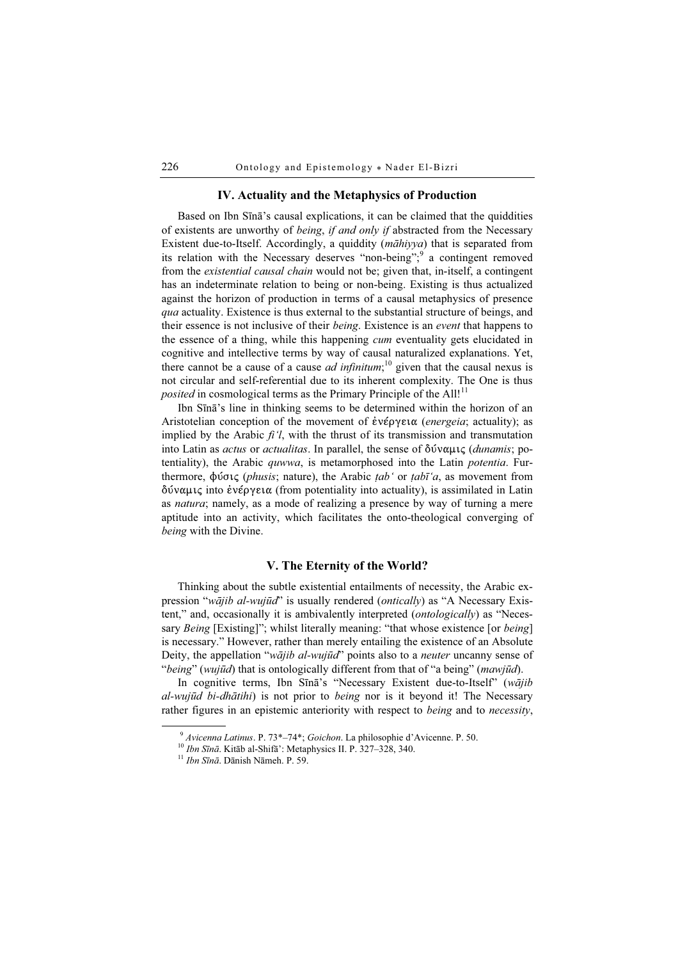#### IV. Actuality and the Metaphysics of Production

Based on Ibn Sīnā's causal explications, it can be claimed that the quiddities of existents are unworthy of being, if and only if abstracted from the Necessary Existent due-to-Itself. Accordingly, a quiddity (māhiyya) that is separated from its relation with the Necessary deserves "non-being";<sup>9</sup> a contingent removed from the existential causal chain would not be; given that, in-itself, a contingent has an indeterminate relation to being or non-being. Existing is thus actualized against the horizon of production in terms of a causal metaphysics of presence qua actuality. Existence is thus external to the substantial structure of beings, and their essence is not inclusive of their *being*. Existence is an *event* that happens to the essence of a thing, while this happening *cum* eventuality gets elucidated in cognitive and intellective terms by way of causal naturalized explanations. Yet, there cannot be a cause of a cause *ad infinitum*;<sup>10</sup> given that the causal nexus is not circular and self-referential due to its inherent complexity. The One is thus posited in cosmological terms as the Primary Principle of the All!<sup>11</sup>

Ibn Sīnā's line in thinking seems to be determined within the horizon of an Aristotelian conception of the movement of  $\dot{\epsilon}$ νέργεια (*energeia*; actuality); as implied by the Arabic  $fi'$ , with the thrust of its transmission and transmutation into Latin as *actus* or *actualitas*. In parallel, the sense of  $\delta \nu \alpha \mu \nu \varsigma$  (*dunamis*; potentiality), the Arabic quwwa, is metamorphosed into the Latin potentia. Furthermore,  $\phi$ νόσις (*phusis*; nature), the Arabic *tab'* or *tabī'a*, as movement from  $\delta$ ύναμις into ένέργεια (from potentiality into actuality), is assimilated in Latin as natura; namely, as a mode of realizing a presence by way of turning a mere aptitude into an activity, which facilitates the onto-theological converging of being with the Divine.

#### V. The Eternity of the World?

Thinking about the subtle existential entailments of necessity, the Arabic expression "wājib al-wujūd" is usually rendered (ontically) as "A Necessary Existent," and, occasionally it is ambivalently interpreted (*ontologically*) as "Necessary Being [Existing]"; whilst literally meaning: "that whose existence [or being] is necessary." However, rather than merely entailing the existence of an Absolute Deity, the appellation "wājib al-wujūd" points also to a neuter uncanny sense of "being" (wujūd) that is ontologically different from that of "a being" (mawjūd).

In cognitive terms, Ibn Sīnā's "Necessary Existent due-to-Itself" (wājib al-wujūd bi-dhātihi) is not prior to being nor is it beyond it! The Necessary rather figures in an epistemic anteriority with respect to *being* and to *necessity*,

<sup>&</sup>lt;sup>9</sup> Avicenna Latinus. P. 73\*–74\*; Goichon. La philosophie d'Avicenne. P. 50. <sup>10</sup> Ibn Sīnā. Kitāb al-Shifā': Metaphysics II. P. 327–328, 340. <sup>11</sup> Ibn Sīnā. Dānish Nāmeh. P. 59.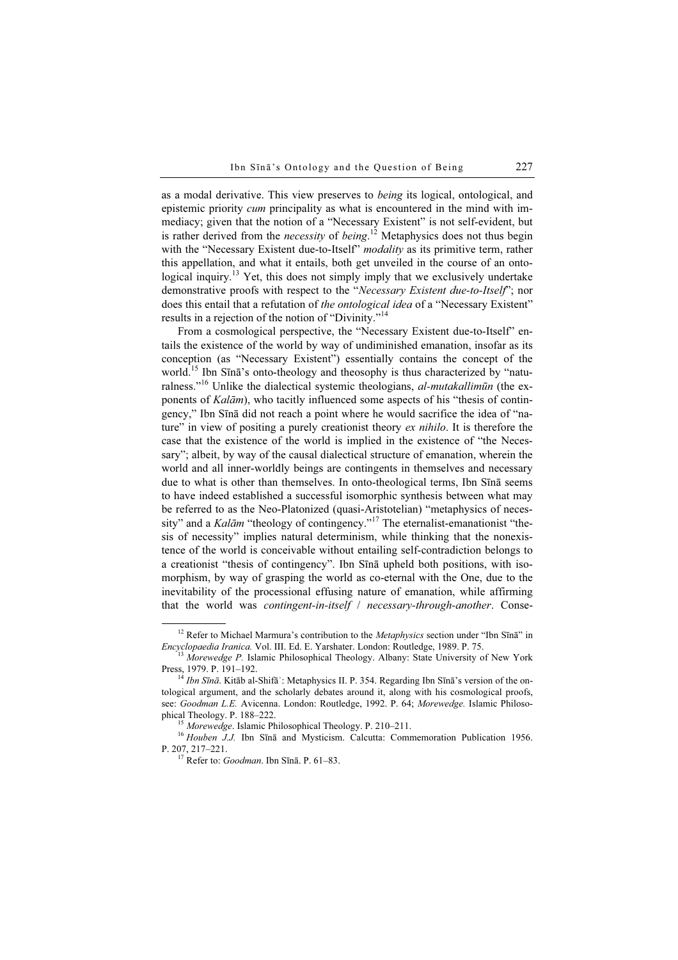as a modal derivative. This view preserves to being its logical, ontological, and epistemic priority cum principality as what is encountered in the mind with immediacy; given that the notion of a "Necessary Existent" is not self-evident, but is rather derived from the *necessity* of *being*.<sup>12</sup> Metaphysics does not thus begin with the "Necessary Existent due-to-Itself" modality as its primitive term, rather this appellation, and what it entails, both get unveiled in the course of an ontological inquiry.<sup>13</sup> Yet, this does not simply imply that we exclusively undertake demonstrative proofs with respect to the "Necessary Existent due-to-Itself"; nor does this entail that a refutation of the ontological idea of a "Necessary Existent" results in a rejection of the notion of "Divinity."<sup>14</sup>

From a cosmological perspective, the "Necessary Existent due-to-Itself" entails the existence of the world by way of undiminished emanation, insofar as its conception (as "Necessary Existent") essentially contains the concept of the world.<sup>15</sup> Ibn Sīnā's onto-theology and theosophy is thus characterized by "naturalness."<sup>16</sup> Unlike the dialectical systemic theologians, *al-mutakallimūn* (the exponents of Kalām), who tacitly influenced some aspects of his "thesis of contingency," Ibn Sīnā did not reach a point where he would sacrifice the idea of "nature" in view of positing a purely creationist theory ex nihilo. It is therefore the case that the existence of the world is implied in the existence of "the Necessary"; albeit, by way of the causal dialectical structure of emanation, wherein the world and all inner-worldly beings are contingents in themselves and necessary due to what is other than themselves. In onto-theological terms, Ibn Sīnā seems to have indeed established a successful isomorphic synthesis between what may be referred to as the Neo-Platonized (quasi-Aristotelian) "metaphysics of necessity" and a Kalām "theology of contingency."<sup>17</sup> The eternalist-emanationist "thesis of necessity" implies natural determinism, while thinking that the nonexistence of the world is conceivable without entailing self-contradiction belongs to a creationist "thesis of contingency". Ibn Sīnā upheld both positions, with isomorphism, by way of grasping the world as co-eternal with the One, due to the inevitability of the processional effusing nature of emanation, while affirming that the world was *contingent-in-itself / necessary-through-another*. Conse-

<sup>&</sup>lt;sup>12</sup> Refer to Michael Marmura's contribution to the *Metaphysics* section under "Ibn Sīnā" in *Encyclopaedia Iranica*. Vol. III. Ed. E. Yarshater. London: Routledge, 1989. P. 75.

<sup>&</sup>lt;sup>13</sup> Morewedge P. Islamic Philosophical Theology. Albany: State University of New York Press. 1979. P. 191–192.

<sup>&</sup>lt;sup>14</sup> Ibn Sīnā. Kitāb al-Shifā<sup>'</sup>: Metaphysics II. P. 354. Regarding Ibn Sīnā's version of the ontological argument, and the scholarly debates around it, along with his cosmological proofs, see: Goodman L.E. Avicenna. London: Routledge, 1992. P. 64; Morewedge. Islamic Philosophical Theology. P. 188–222.<br><sup>15</sup> Morewedge. Islamic Philosophical Theology. P. 210–211.<br><sup>16</sup> Houben J.J. Ibn Sīnā and Mysticism. Calcutta: Commemoration Publication 1956.

P. 207, 217–221.<br><sup>17</sup> Refer to: *Goodman*. Ibn Sīnā. P. 61–83.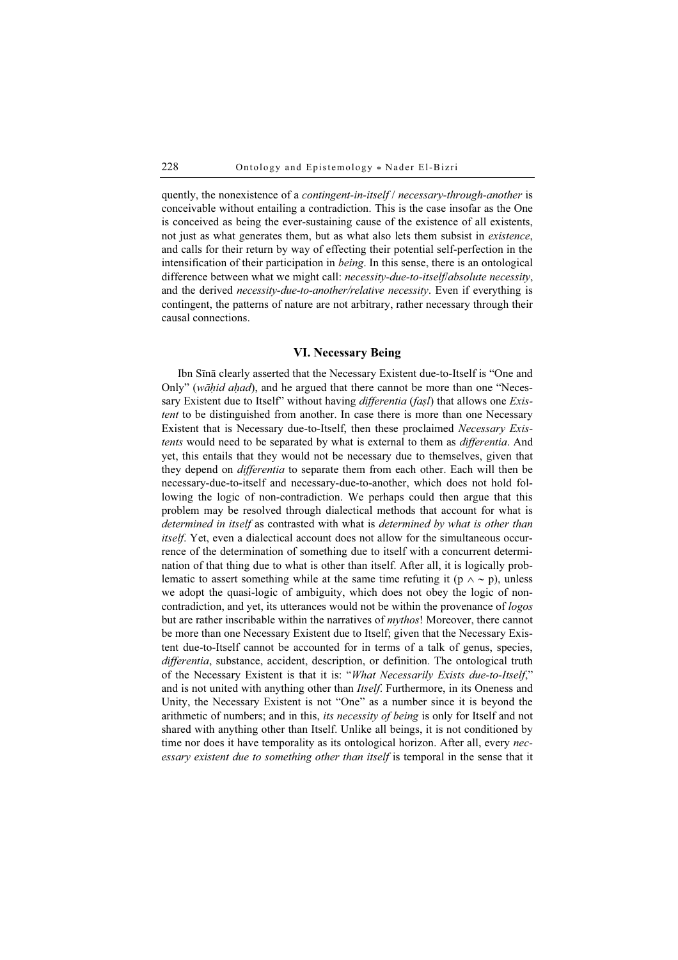quently, the nonexistence of a *contingent-in-itself* / *necessary-through-another* is conceivable without entailing a contradiction. This is the case insofar as the One is conceived as being the ever-sustaining cause of the existence of all existents, not just as what generates them, but as what also lets them subsist in *existence*, and calls for their return by way of effecting their potential self-perfection in the intensification of their participation in being. In this sense, there is an ontological difference between what we might call: necessity-due-to-itself/absolute necessity, and the derived *necessity-due-to-another/relative necessity*. Even if everything is contingent, the patterns of nature are not arbitrary, rather necessary through their causal connections.

#### VI. Necessary Being

Ibn Sīnā clearly asserted that the Necessary Existent due-to-Itself is "One and Only" (wāḥid aḥad), and he argued that there cannot be more than one "Necessary Existent due to Itself" without having *differentia* (*fasl*) that allows one *Exis*tent to be distinguished from another. In case there is more than one Necessary Existent that is Necessary due-to-Itself, then these proclaimed Necessary Existents would need to be separated by what is external to them as *differentia*. And yet, this entails that they would not be necessary due to themselves, given that they depend on differentia to separate them from each other. Each will then be necessary-due-to-itself and necessary-due-to-another, which does not hold following the logic of non-contradiction. We perhaps could then argue that this problem may be resolved through dialectical methods that account for what is determined in itself as contrasted with what is determined by what is other than itself. Yet, even a dialectical account does not allow for the simultaneous occurrence of the determination of something due to itself with a concurrent determination of that thing due to what is other than itself. After all, it is logically problematic to assert something while at the same time refuting it ( $p \land \sim p$ ), unless we adopt the quasi-logic of ambiguity, which does not obey the logic of noncontradiction, and yet, its utterances would not be within the provenance of *logos* but are rather inscribable within the narratives of *mythos*! Moreover, there cannot be more than one Necessary Existent due to Itself; given that the Necessary Existent due-to-Itself cannot be accounted for in terms of a talk of genus, species, differentia, substance, accident, description, or definition. The ontological truth of the Necessary Existent is that it is: "What Necessarily Exists due-to-Itself," and is not united with anything other than *Itself*. Furthermore, in its Oneness and Unity, the Necessary Existent is not "One" as a number since it is beyond the arithmetic of numbers; and in this, its necessity of being is only for Itself and not shared with anything other than Itself. Unlike all beings, it is not conditioned by time nor does it have temporality as its ontological horizon. After all, every *nec*essary existent due to something other than itself is temporal in the sense that it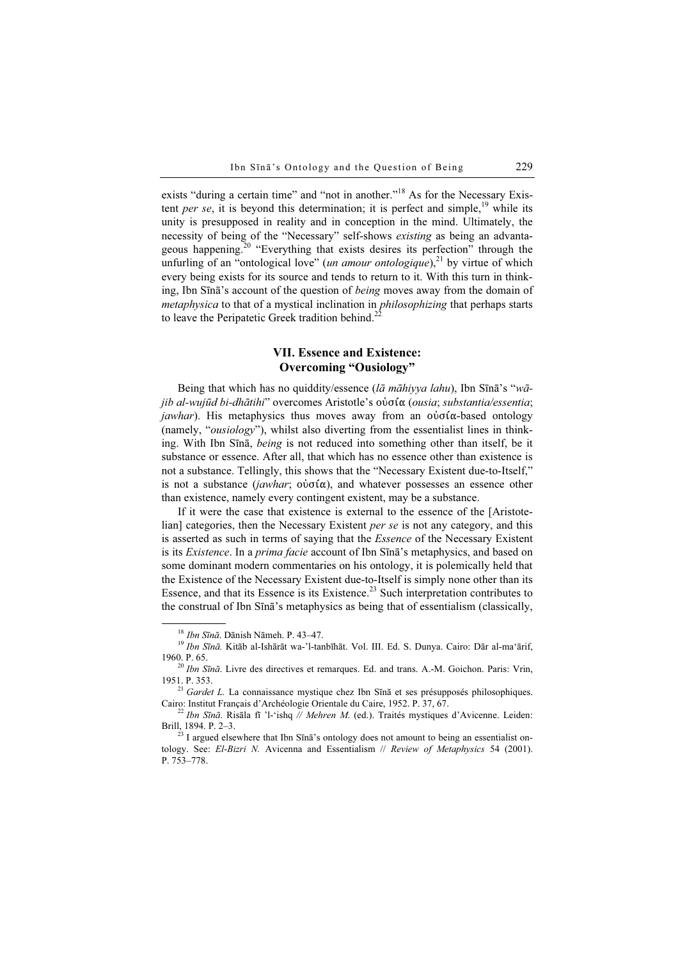exists "during a certain time" and "not in another."<sup>18</sup> As for the Necessary Existent per se, it is beyond this determination; it is perfect and simple,<sup>19</sup> while its unity is presupposed in reality and in conception in the mind. Ultimately, the necessity of being of the "Necessary" self-shows existing as being an advantageous happening.<sup>20</sup> "Everything that exists desires its perfection" through the unfurling of an "ontological love" (*un amour ontologique*),<sup>21</sup> by virtue of which every being exists for its source and tends to return to it. With this turn in thinking, Ibn Sīnā's account of the question of being moves away from the domain of metaphysica to that of a mystical inclination in *philosophizing* that perhaps starts to leave the Peripatetic Greek tradition behind.<sup>22</sup>

## VII. Essence and Existence: Overcoming "Ousiology"

Being that which has no quiddity/essence (lā māhiyya lahu), Ibn Sīnā's "wājib al-wujūd bi-dhātihi" overcomes Aristotle's  $o\dot{o}o\dot{o}a$  (ousia; substantia/essentia; jawhar). His metaphysics thus moves away from an  $o\dot{o}o\dot{o}a$ -based ontology (namely, "ousiology"), whilst also diverting from the essentialist lines in thinking. With Ibn Sīnā, being is not reduced into something other than itself, be it substance or essence. After all, that which has no essence other than existence is not a substance. Tellingly, this shows that the "Necessary Existent due-to-Itself," is not a substance (jawhar;  $o\dot{o}o\dot{o}a$ ), and whatever possesses an essence other than existence, namely every contingent existent, may be a substance.

If it were the case that existence is external to the essence of the [Aristotelian] categories, then the Necessary Existent *per se* is not any category, and this is asserted as such in terms of saying that the Essence of the Necessary Existent is its Existence. In a prima facie account of Ibn Sīnā's metaphysics, and based on some dominant modern commentaries on his ontology, it is polemically held that the Existence of the Necessary Existent due-to-Itself is simply none other than its Essence, and that its Essence is its Existence.<sup>23</sup> Such interpretation contributes to the construal of Ibn Sīnā's metaphysics as being that of essentialism (classically,

<sup>&</sup>lt;sup>18</sup> Ibn Sīnā. Dānish Nāmeh. P. 43–47.<br><sup>19</sup> Ibn Sīnā. Kitāb al-Ishārāt wa-'l-tanbīhāt. Vol. III. Ed. S. Dunya. Cairo: Dār al-ma<sup>*'*</sup>ārif,

<sup>1960.</sup> P. 65. <sup>20</sup> Ibn Sīnā. Livre des directives et remarques. Ed. and trans. A.-M. Goichon. Paris: Vrin, 1951. P. 353.

 $21$  Gardet L. La connaissance mystique chez Ibn Sīnā et ses présupposés philosophiques. Cairo: Institut Français d'Archéologie Orientale du Caire, 1952. P. 37, 67.<br><sup>22</sup> Ibn Sīnā. Risāla fī 'l-'ishq // Mehren M. (ed.). Traités mystiques d'Avicenne. Leiden:

Brill, 1894. P. 2–3.<br><sup>23</sup> I argued elsewhere that Ibn Sīnā's ontology does not amount to being an essentialist on-

tology. See: El-Bizri N. Avicenna and Essentialism // Review of Metaphysics 54 (2001). P. 753–778.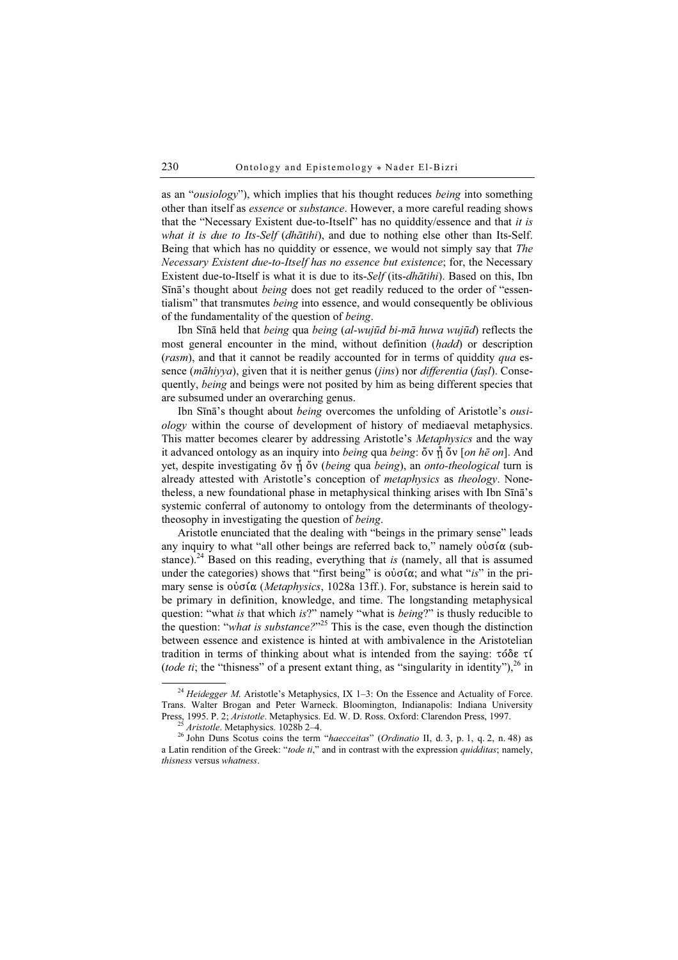as an "ousiology"), which implies that his thought reduces being into something other than itself as essence or substance. However, a more careful reading shows that the "Necessary Existent due-to-Itself" has no quiddity/essence and that *it is* what it is due to Its-Self (dhātihi), and due to nothing else other than Its-Self. Being that which has no quiddity or essence, we would not simply say that The Necessary Existent due-to-Itself has no essence but existence; for, the Necessary Existent due-to-Itself is what it is due to its-Self (its-dhātihi). Based on this, Ibn Sīnā's thought about being does not get readily reduced to the order of "essentialism" that transmutes being into essence, and would consequently be oblivious of the fundamentality of the question of being.

Ibn Sīnā held that being qua being (al-wujūd bi-mā huwa wujūd) reflects the most general encounter in the mind, without definition (hadd) or description (rasm), and that it cannot be readily accounted for in terms of quiddity *qua* essence (māhiyya), given that it is neither genus (jins) nor differentia (fasl). Consequently, *being* and beings were not posited by him as being different species that are subsumed under an overarching genus.

Ibn Sīnā's thought about being overcomes the unfolding of Aristotle's ousiology within the course of development of history of mediaeval metaphysics. This matter becomes clearer by addressing Aristotle's *Metaphysics* and the way it advanced ontology as an inquiry into *being* qua *being*:  $\ddot{\text{o}}v \text{ for } h\ddot{\text{e}}$  on]. And yet, despite investigating  $\delta v \hat{\eta} \delta v$  (*being qua being*), an *onto-theological* turn is already attested with Aristotle's conception of metaphysics as theology. Nonetheless, a new foundational phase in metaphysical thinking arises with Ibn Sīnā's systemic conferral of autonomy to ontology from the determinants of theologytheosophy in investigating the question of *being*.

Aristotle enunciated that the dealing with "beings in the primary sense" leads any inquiry to what "all other beings are referred back to," namely  $o\dot{o}o\dot{o}a$  (substance).<sup>24</sup> Based on this reading, everything that is (namely, all that is assumed under the categories) shows that "first being" is  $o\dot{o}o\dot{o}a$ ; and what "is" in the primary sense is  $o\dot{v}\sigma\acute{\alpha}$  (*Metaphysics*, 1028a 13ff.). For, substance is herein said to be primary in definition, knowledge, and time. The longstanding metaphysical question: "what is that which is?" namely "what is being?" is thusly reducible to the question: "what is substance?"<sup>25</sup> This is the case, even though the distinction between essence and existence is hinted at with ambivalence in the Aristotelian tradition in terms of thinking about what is intended from the saying:  $\tau$ óðe  $\tau$ í (tode ti; the "thisness" of a present extant thing, as "singularity in identity"),  $^{26}$  in

 $24$  Heidegger M. Aristotle's Metaphysics, IX 1-3: On the Essence and Actuality of Force. Trans. Walter Brogan and Peter Warneck. Bloomington, Indianapolis: Indiana University Press. 1995. P. 2: *Aristotle*. Metaphysics. Ed. W. D. Ross. Oxford: Clarendon Press. 1997.

<sup>&</sup>lt;sup>25</sup> Aristotle. Metaphysics. 1028b 2–4.<br><sup>26</sup> John Duns Scotus coins the term "*haecceitas*" (*Ordinatio* II, d. 3, p. 1, q. 2, n. 48) as a Latin rendition of the Greek: "tode ti," and in contrast with the expression *quidditas*; namely, thisness versus whatness.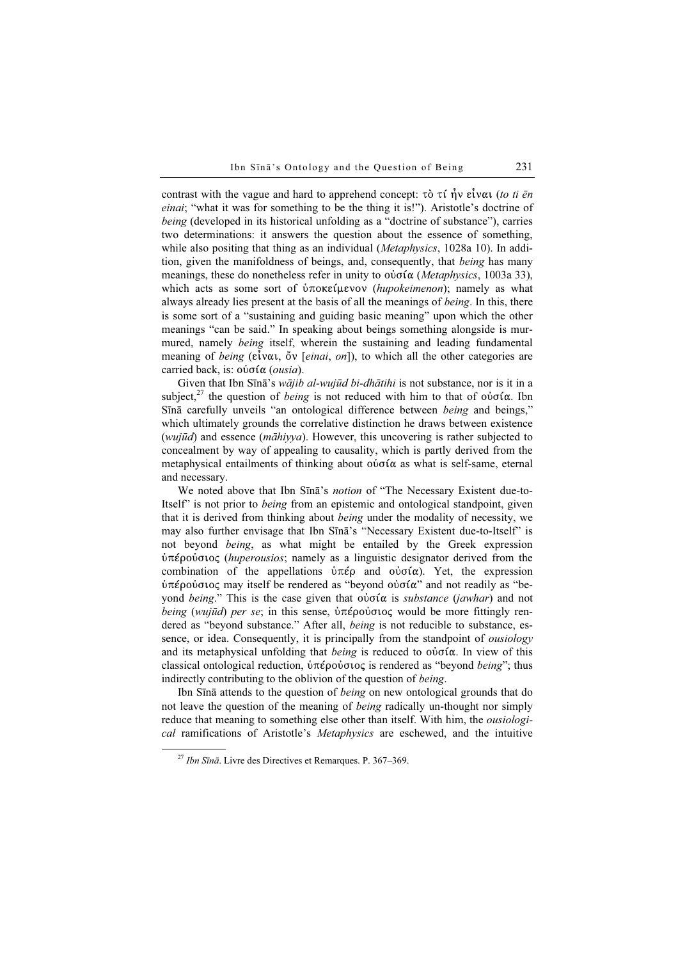contrast with the vague and hard to apprehend concept:  $\tau \delta \tau \mathbf{i} \gamma \mathbf{i} \gamma \mathbf{e} \mathbf{i} \gamma \alpha \mathbf{i}$  (to ti  $\bar{e}n$  einai; "what it was for something to be the thing it is!"). Aristotle's doctrine of being (developed in its historical unfolding as a "doctrine of substance"), carries two determinations: it answers the question about the essence of something, while also positing that thing as an individual (Metaphysics, 1028a 10). In addition, given the manifoldness of beings, and, consequently, that being has many meanings, these do nonetheless refer in unity to  $o\dot{o}$  (*Metaphysics*, 1003a 33), which acts as some sort of υποκείμενον (hupokeimenon); namely as what always already lies present at the basis of all the meanings of being. In this, there is some sort of a "sustaining and guiding basic meaning" upon which the other meanings "can be said." In speaking about beings something alongside is murmured, namely being itself, wherein the sustaining and leading fundamental meaning of being ( $\epsilon \tilde{i}$ v $\alpha$ ,  $\tilde{o}$ ν [einai, on]), to which all the other categories are carried back, is:  $o\dot{v}\sigma\dot{\alpha}$  (*ousia*).

Given that Ibn Sīnā's wājib al-wujūd bi-dhātihi is not substance, nor is it in a subject,<sup>27</sup> the question of *being* is not reduced with him to that of  $o\dot{o}o\dot{o}i\alpha$ . Ibn Sīnā carefully unveils "an ontological difference between being and beings," which ultimately grounds the correlative distinction he draws between existence (wujūd) and essence ( $m\bar{a}h_i y v a$ ). However, this uncovering is rather subjected to concealment by way of appealing to causality, which is partly derived from the metaphysical entailments of thinking about  $o\dot{o}o\dot{o}a$  as what is self-same, eternal and necessary.

We noted above that Ibn Sīnā's notion of "The Necessary Existent due-to-Itself" is not prior to being from an epistemic and ontological standpoint, given that it is derived from thinking about being under the modality of necessity, we may also further envisage that Ibn Sīnā's "Necessary Existent due-to-Itself" is not beyond being, as what might be entailed by the Greek expression ύπέρούσιος (huperousios; namely as a linguistic designator derived from the combination of the appellations  $\dot{v}\pi\epsilon\rho$  and  $\dot{v}\sigma\alpha\alpha$ . Yet, the expression  $\dot{\theta}$ πέρούσιος may itself be rendered as "beyond ούσία" and not readily as "beyond being." This is the case given that  $o\dot{o}o\dot{o}a$  is *substance (jawhar)* and not being (wujūd) per se; in this sense,  $\hat{\nu}$ πέρούσιος would be more fittingly rendered as "beyond substance." After all, *being* is not reducible to substance, essence, or idea. Consequently, it is principally from the standpoint of *ousiology* and its metaphysical unfolding that *being* is reduced to  $o\dot{o}o\dot{o}i\alpha$ . In view of this classical ontological reduction,  $\dot{\theta} \pi \epsilon \rho \dot{\theta} \dot{\theta}$  is rendered as "beyond *being*"; thus indirectly contributing to the oblivion of the question of being.

Ibn Sīnā attends to the question of being on new ontological grounds that do not leave the question of the meaning of being radically un-thought nor simply reduce that meaning to something else other than itself. With him, the ousiological ramifications of Aristotle's Metaphysics are eschewed, and the intuitive

 $^{27}$  *Ibn Sīnā*. Livre des Directives et Remarques. P. 367–369.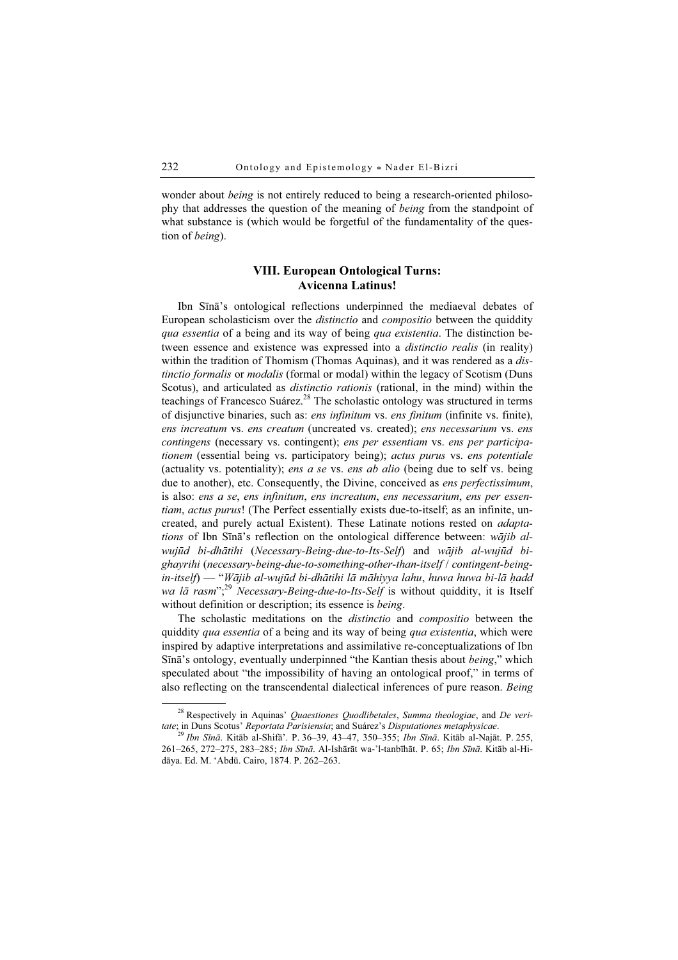wonder about being is not entirely reduced to being a research-oriented philosophy that addresses the question of the meaning of being from the standpoint of what substance is (which would be forgetful of the fundamentality of the question of being).

## VIII. European Ontological Turns: Avicenna Latinus!

Ibn Sīnā's ontological reflections underpinned the mediaeval debates of European scholasticism over the distinctio and compositio between the quiddity qua essentia of a being and its way of being qua existentia. The distinction between essence and existence was expressed into a distinctio realis (in reality) within the tradition of Thomism (Thomas Aquinas), and it was rendered as a *dis*tinctio formalis or modalis (formal or modal) within the legacy of Scotism (Duns Scotus), and articulated as distinctio rationis (rational, in the mind) within the teachings of Francesco Suárez.<sup>28</sup> The scholastic ontology was structured in terms of disjunctive binaries, such as: ens infinitum vs. ens finitum (infinite vs. finite), ens increatum vs. ens creatum (uncreated vs. created); ens necessarium vs. ens contingens (necessary vs. contingent); ens per essentiam vs. ens per participationem (essential being vs. participatory being); actus purus vs. ens potentiale (actuality vs. potentiality); ens a se vs. ens ab alio (being due to self vs. being due to another), etc. Consequently, the Divine, conceived as ens perfectissimum, is also: ens a se, ens infinitum, ens increatum, ens necessarium, ens per essentiam, actus purus! (The Perfect essentially exists due-to-itself; as an infinite, uncreated, and purely actual Existent). These Latinate notions rested on adaptations of Ibn Sīnā's reflection on the ontological difference between: wājib alwujūd bi-dhātihi (Necessary-Being-due-to-Its-Self) and wājib al-wujūd bighayrihi (necessary-being-due-to-something-other-than-itself / contingent-beingin-itself) — "Wājib al-wujūd bi-dhātihi lā māhiyya lahu, huwa huwa bi-lā ḥadd wa lā rasm";<sup>29</sup> Necessary-Being-due-to-Its-Self is without quiddity, it is Itself without definition or description; its essence is *being*.

The scholastic meditations on the distinctio and compositio between the quiddity qua essentia of a being and its way of being qua existentia, which were inspired by adaptive interpretations and assimilative re-conceptualizations of Ibn Sīnā's ontology, eventually underpinned "the Kantian thesis about being," which speculated about "the impossibility of having an ontological proof," in terms of also reflecting on the transcendental dialectical inferences of pure reason. Being

<sup>&</sup>lt;sup>28</sup> Respectively in Aquinas' *Quaestiones Quodlibetales, Summa theologiae*, and *De veritate*; in Duns Scotus' *Reportata Parisiensia*; and Suárez's *Disputationes metaphysicae*.

 $t^{29}$  Ibn Sīnā. Kitāb al-Shifā'. P. 36–39, 43–47, 350–355; Ibn Sīnā. Kitāb al-Najāt. P. 255, 261–265, 272–275, 283–285; Ibn Sīnā. Al-Ishārāt wa-'l-tanbīhāt. P. 65; Ibn Sīnā. Kitāb al-Hidāya. Ed. M. 'Abdū. Cairo, 1874. P. 262–263.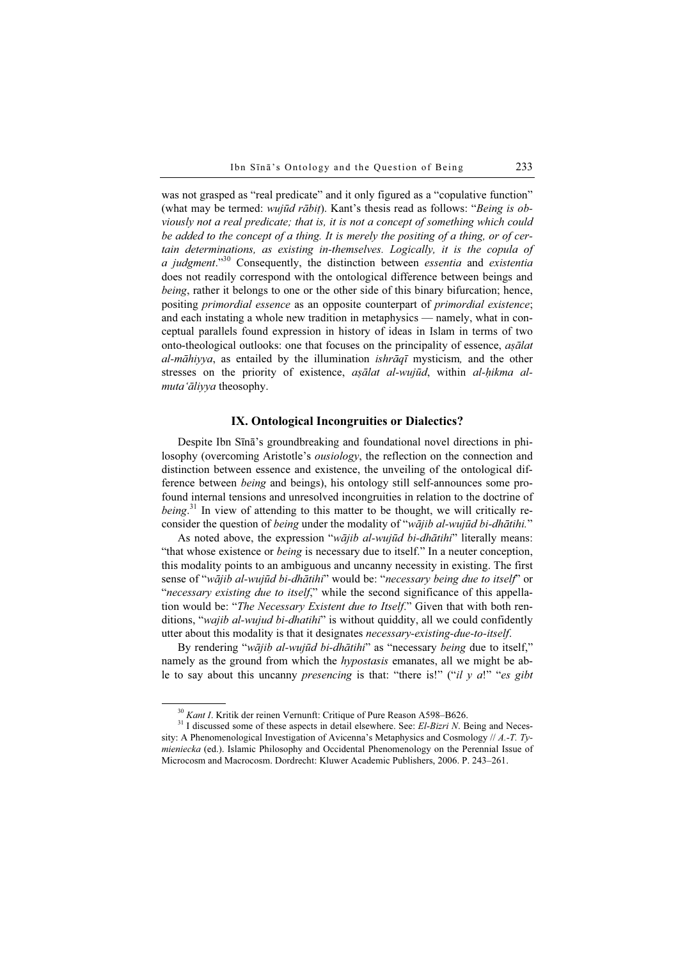was not grasped as "real predicate" and it only figured as a "copulative function" (what may be termed: wujūd rābit). Kant's thesis read as follows: "Being is obviously not a real predicate; that is, it is not a concept of something which could be added to the concept of a thing. It is merely the positing of a thing, or of certain determinations, as existing in-themselves. Logically, it is the copula of a judgment."<sup>30</sup> Consequently, the distinction between essentia and existentia does not readily correspond with the ontological difference between beings and being, rather it belongs to one or the other side of this binary bifurcation; hence, positing primordial essence as an opposite counterpart of primordial existence; and each instating a whole new tradition in metaphysics — namely, what in conceptual parallels found expression in history of ideas in Islam in terms of two onto-theological outlooks: one that focuses on the principality of essence, aṣālat  $al-m\bar{a}h$ iyya, as entailed by the illumination *ishrāqī* mysticism, and the other stresses on the priority of existence, așālat al-wujūd, within al-hikma almuta'āliyya theosophy.

### IX. Ontological Incongruities or Dialectics?

Despite Ibn Sīnā's groundbreaking and foundational novel directions in philosophy (overcoming Aristotle's ousiology, the reflection on the connection and distinction between essence and existence, the unveiling of the ontological difference between being and beings), his ontology still self-announces some profound internal tensions and unresolved incongruities in relation to the doctrine of being.<sup>31</sup> In view of attending to this matter to be thought, we will critically reconsider the question of *being* under the modality of "wājib al-wujūd bi-dhātihi."

As noted above, the expression "wājib al-wujūd bi-dhātihi" literally means: "that whose existence or being is necessary due to itself." In a neuter conception, this modality points to an ambiguous and uncanny necessity in existing. The first sense of "wājib al-wujūd bi-dhātihi" would be: "necessary being due to itself' or "necessary existing due to itself," while the second significance of this appellation would be: "The Necessary Existent due to Itself." Given that with both renditions, "wajib al-wujud bi-dhatihi" is without quiddity, all we could confidently utter about this modality is that it designates necessary-existing-due-to-itself.

By rendering "wājib al-wujūd bi-dhātihi" as "necessary being due to itself," namely as the ground from which the *hypostasis* emanates, all we might be able to say about this uncanny *presencing* is that: "there is!" ("il y a!" "es gibt")

<sup>&</sup>lt;sup>30</sup> Kant I. Kritik der reinen Vernunft: Critique of Pure Reason A598–B626. <sup>31</sup> I discussed some of these aspects in detail elsewhere. See: *El-Bizri N*. Being and Necessity: A Phenomenological Investigation of Avicenna's Metaphysics and Cosmology //  $A$ .-T. Tymieniecka (ed.). Islamic Philosophy and Occidental Phenomenology on the Perennial Issue of Microcosm and Macrocosm. Dordrecht: Kluwer Academic Publishers, 2006. P. 243–261.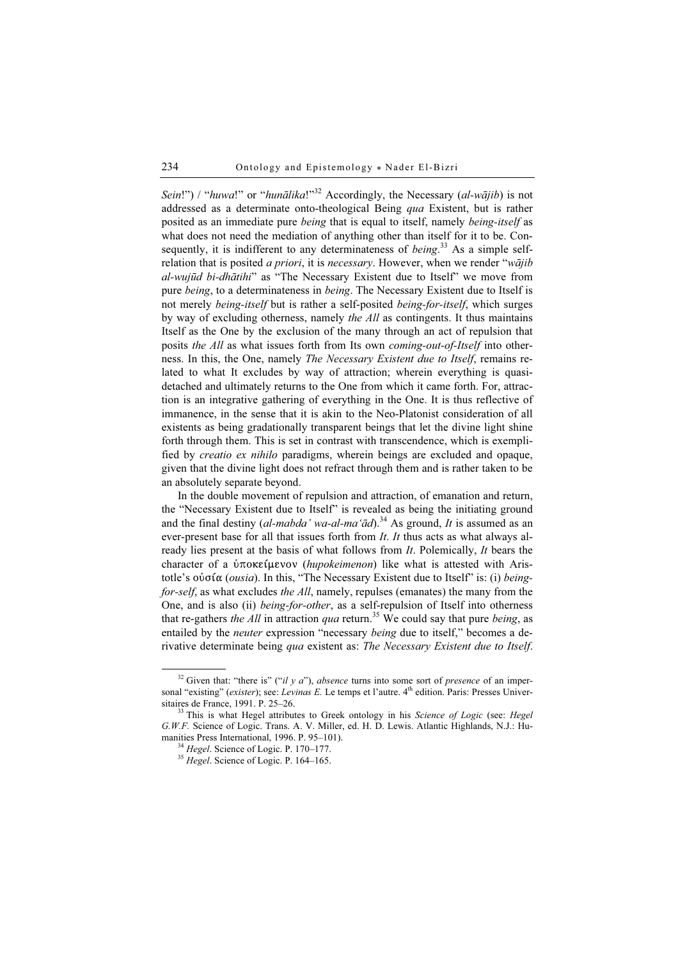Sein!") / "huwa!" or "hunālika!"<sup>32</sup> Accordingly, the Necessary (al-wājib) is not addressed as a determinate onto-theological Being qua Existent, but is rather posited as an immediate pure being that is equal to itself, namely being-itself as what does not need the mediation of anything other than itself for it to be. Consequently, it is indifferent to any determinateness of *being*.<sup>33</sup> As a simple selfrelation that is posited *a priori*, it is *necessary*. However, when we render "*wājib* al-wujūd bi-dhātihi" as "The Necessary Existent due to Itself" we move from pure *being*, to a determinateness in *being*. The Necessary Existent due to Itself is not merely being-itself but is rather a self-posited being-for-itself, which surges by way of excluding otherness, namely the All as contingents. It thus maintains Itself as the One by the exclusion of the many through an act of repulsion that posits the All as what issues forth from Its own *coming-out-of-Itself* into otherness. In this, the One, namely The Necessary Existent due to Itself, remains related to what It excludes by way of attraction; wherein everything is quasidetached and ultimately returns to the One from which it came forth. For, attraction is an integrative gathering of everything in the One. It is thus reflective of immanence, in the sense that it is akin to the Neo-Platonist consideration of all existents as being gradationally transparent beings that let the divine light shine forth through them. This is set in contrast with transcendence, which is exemplified by creatio ex nihilo paradigms, wherein beings are excluded and opaque, given that the divine light does not refract through them and is rather taken to be an absolutely separate beyond.

In the double movement of repulsion and attraction, of emanation and return, the "Necessary Existent due to Itself" is revealed as being the initiating ground and the final destiny (al-mabda' wa-al-ma'ād).<sup>34</sup> As ground, It is assumed as an ever-present base for all that issues forth from  $It$ . It thus acts as what always already lies present at the basis of what follows from *It*. Polemically, *It* bears the character of a ύποκείμενον (hupokeimenon) like what is attested with Aristotle's  $o\dot{v}\sigma\dot{\alpha}$  (*ousia*). In this, "The Necessary Existent due to Itself" is: (i) *being*for-self, as what excludes the All, namely, repulses (emanates) the many from the One, and is also (ii) being-for-other, as a self-repulsion of Itself into otherness that re-gathers the All in attraction qua return.<sup>35</sup> We could say that pure being, as entailed by the *neuter* expression "necessary *being* due to itself," becomes a derivative determinate being qua existent as: The Necessary Existent due to Itself.

<sup>&</sup>lt;sup>32</sup> Given that: "there is" ("il y a"), absence turns into some sort of presence of an impersonal "existing" (exister); see: Levinas E. Le temps et l'autre.  $4<sup>th</sup>$  edition. Paris: Presses Univer-<br>sitaires de France. 1991. P. 25–26.

 $33$  This is what Hegel attributes to Greek ontology in his Science of Logic (see: Hegel G.W.F. Science of Logic. Trans. A. V. Miller, ed. H. D. Lewis. Atlantic Highlands, N.J.: Humanities Press International. 1996. P. 95–101).

 $34$  Hegel. Science of Logic. P. 170–177.<br><sup>35</sup> Hegel. Science of Logic. P. 164–165.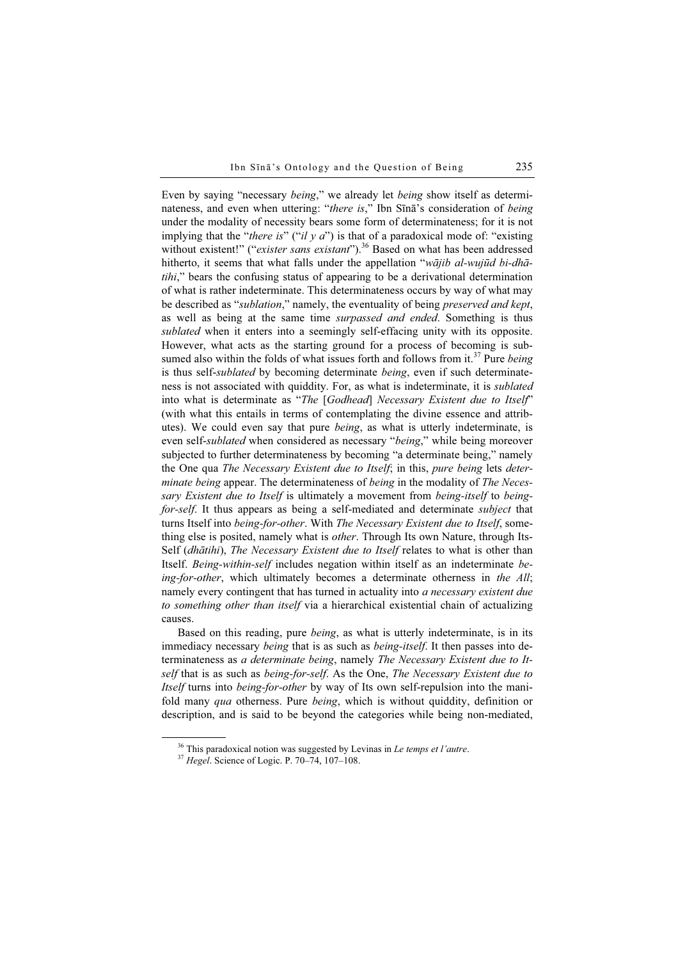Even by saying "necessary being," we already let being show itself as determinateness, and even when uttering: "there is," Ibn Sīnā's consideration of being under the modality of necessity bears some form of determinateness; for it is not implying that the "there is" ("il y a") is that of a paradoxical mode of: "existing without existent!" ("exister sans existant").<sup>36</sup> Based on what has been addressed hitherto, it seems that what falls under the appellation "wājib al-wujūd bi-dhātihi," bears the confusing status of appearing to be a derivational determination of what is rather indeterminate. This determinateness occurs by way of what may be described as "sublation," namely, the eventuality of being preserved and kept, as well as being at the same time surpassed and ended. Something is thus sublated when it enters into a seemingly self-effacing unity with its opposite. However, what acts as the starting ground for a process of becoming is subsumed also within the folds of what issues forth and follows from it.<sup>37</sup> Pure *being* is thus self-sublated by becoming determinate being, even if such determinateness is not associated with quiddity. For, as what is indeterminate, it is *sublated* into what is determinate as "The [Godhead] Necessary Existent due to Itself" (with what this entails in terms of contemplating the divine essence and attributes). We could even say that pure being, as what is utterly indeterminate, is even self-sublated when considered as necessary "being," while being moreover subjected to further determinateness by becoming "a determinate being," namely the One qua The Necessary Existent due to Itself; in this, pure being lets determinate being appear. The determinateness of being in the modality of The Necessary Existent due to Itself is ultimately a movement from being-itself to beingfor-self. It thus appears as being a self-mediated and determinate *subject* that turns Itself into being-for-other. With The Necessary Existent due to Itself, something else is posited, namely what is *other*. Through Its own Nature, through Its-Self (dhātihi), The Necessary Existent due to Itself relates to what is other than Itself. Being-within-self includes negation within itself as an indeterminate being-for-other, which ultimately becomes a determinate otherness in the All; namely every contingent that has turned in actuality into a necessary existent due to something other than itself via a hierarchical existential chain of actualizing causes.

Based on this reading, pure being, as what is utterly indeterminate, is in its immediacy necessary *being* that is as such as *being-itself*. It then passes into determinateness as a determinate being, namely The Necessary Existent due to Itself that is as such as being-for-self. As the One, The Necessary Existent due to Itself turns into being-for-other by way of Its own self-repulsion into the manifold many qua otherness. Pure being, which is without quiddity, definition or description, and is said to be beyond the categories while being non-mediated,

<sup>&</sup>lt;sup>36</sup> This paradoxical notion was suggested by Levinas in *Le temps et l'autre*. <sup>37</sup> Hegel. Science of Logic. P. 70–74, 107–108.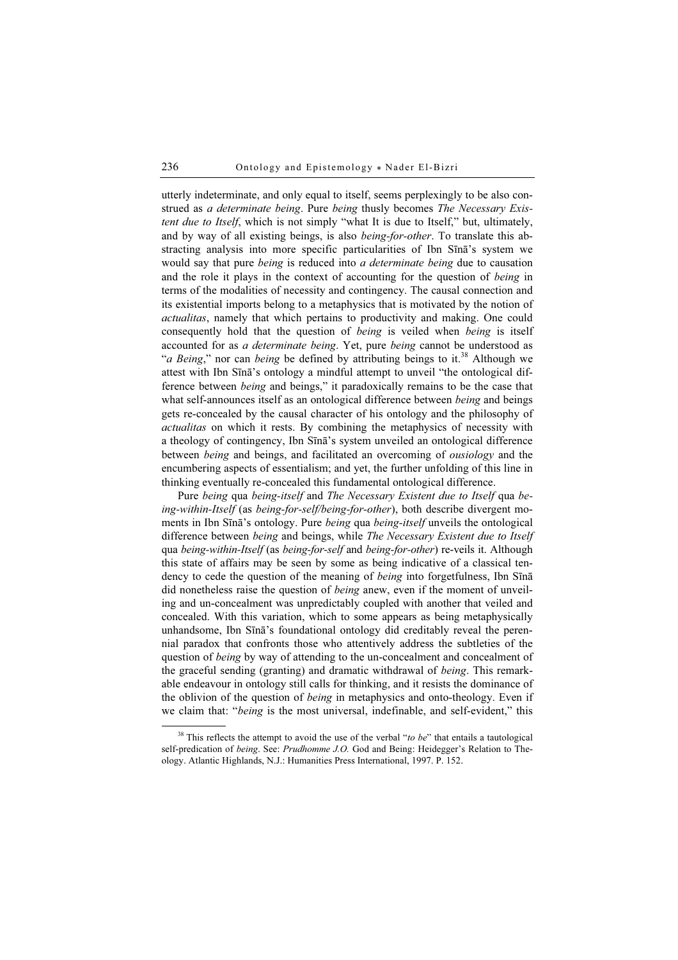utterly indeterminate, and only equal to itself, seems perplexingly to be also construed as a determinate being. Pure being thusly becomes The Necessary Existent due to Itself, which is not simply "what It is due to Itself," but, ultimately, and by way of all existing beings, is also being-for-other. To translate this abstracting analysis into more specific particularities of Ibn Sīnā's system we would say that pure *being* is reduced into *a determinate being* due to causation and the role it plays in the context of accounting for the question of being in terms of the modalities of necessity and contingency. The causal connection and its existential imports belong to a metaphysics that is motivated by the notion of actualitas, namely that which pertains to productivity and making. One could consequently hold that the question of being is veiled when being is itself accounted for as a determinate being. Yet, pure being cannot be understood as "a Being," nor can being be defined by attributing beings to it.<sup>38</sup> Although we attest with Ibn Sīnā's ontology a mindful attempt to unveil "the ontological difference between being and beings," it paradoxically remains to be the case that what self-announces itself as an ontological difference between *being* and beings gets re-concealed by the causal character of his ontology and the philosophy of actualitas on which it rests. By combining the metaphysics of necessity with a theology of contingency, Ibn Sīnā's system unveiled an ontological difference between being and beings, and facilitated an overcoming of ousiology and the encumbering aspects of essentialism; and yet, the further unfolding of this line in thinking eventually re-concealed this fundamental ontological difference.

Pure being qua being-itself and The Necessary Existent due to Itself qua being-within-Itself (as being-for-self/being-for-other), both describe divergent moments in Ibn Sīnā's ontology. Pure being qua being-itself unveils the ontological difference between *being* and beings, while *The Necessary Existent due to Itself* qua being-within-Itself (as being-for-self and being-for-other) re-veils it. Although this state of affairs may be seen by some as being indicative of a classical tendency to cede the question of the meaning of being into forgetfulness, Ibn Sīnā did nonetheless raise the question of being anew, even if the moment of unveiling and un-concealment was unpredictably coupled with another that veiled and concealed. With this variation, which to some appears as being metaphysically unhandsome, Ibn Sīnā's foundational ontology did creditably reveal the perennial paradox that confronts those who attentively address the subtleties of the question of being by way of attending to the un-concealment and concealment of the graceful sending (granting) and dramatic withdrawal of being. This remarkable endeavour in ontology still calls for thinking, and it resists the dominance of the oblivion of the question of being in metaphysics and onto-theology. Even if we claim that: "being is the most universal, indefinable, and self-evident," this

 $38$  This reflects the attempt to avoid the use of the verbal "to be" that entails a tautological self-predication of being. See: Prudhomme J.O. God and Being: Heidegger's Relation to Theology. Atlantic Highlands, N.J.: Humanities Press International, 1997. P. 152.